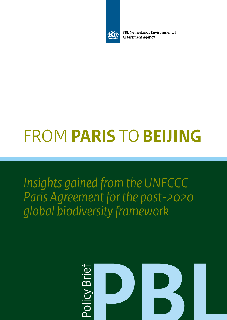

PBL Netherlands Environmental **Assessment Agency** 

# FROM **PARIS** TO **BEIJING**

*Insights gained from the UNFCCC Paris Agreement for the post-2020 global biodiversity framework*

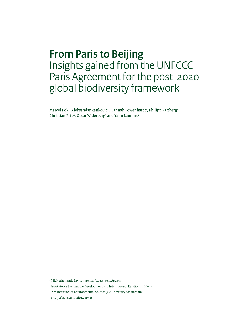### **From Paris to Beijing** Insights gained from the UNFCCC Paris Agreement for the post-2020 global biodiversity framework

Marcel Kok<sup>1</sup>, Aleksandar Rankovic<sup>2</sup>, Hannah Löwenhardt<sup>1</sup>, Philipp Pattberg<sup>3</sup>, Christian Prip<sup>4</sup>, Oscar Widerberg<sup>3</sup> and Yann Laurans<sup>2</sup>

1 PBL Netherlands Environmental Assessment Agency

<sup>2</sup> Institute for Sustainable Development and International Relations (IDDRI)

<sup>3</sup> IVM Institute for Environmental Studies (VU University Amsterdam)

<sup>4</sup> Fridtjof Nansen Institute (FNI)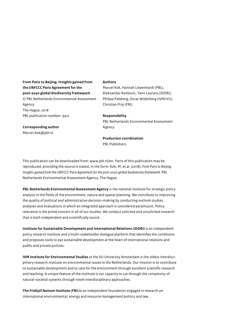**From Paris to Beijing. Insights gained from the UNFCCC Paris Agreement for the post-2020 global biodiversity framework**  © PBL Netherlands Environmental Assessment Agency The Hague, 2018 PBL publication number: 3412

#### **Authors**

Marcel Kok, Hannah Löwenhardt (PBL), Aleksandar Rankovic, Yann Laurans (IDDRI), Philipp Pattberg, Oscar Widerberg (IVM/VU), Christian Prip (FNI).

#### **Responsibility**

PBL Netherlands Environmental Assessment Agency

#### **Production coordination**

PBL Publishers

This publication can be downloaded from: www.pbl.nl/en. Parts of this publication may be reproduced, providing the source is stated, in the form: Kok, M. et al. (2018), *From Paris to Beijing.*  Insights gained from the UNFCCC Paris Agreement for the post-2020 global biodiversity framework. PBL Netherlands Environmental Assessment Agency, The Hague.

**PBL Netherlands Environmental Assessment Agency** is the national institute for strategic policy analysis in the fields of the environment, nature and spatial planning. We contribute to improving the quality of political and administrative decision-making by conducting outlook studies, analyses and evaluations in which an integrated approach is considered paramount. Policy relevance is the prime concern in all of our studies. We conduct solicited and unsolicited research that is both independent and scientifically sound.

**Institute for Sustainable Development and International Relations (IDDRI)** is an independent policy research institute and a multi-stakeholder dialogue platform that identifies the conditions and proposes tools to put sustainable development at the heart of international relations and public and private policies.

**IVM Institute for Environmental Studies** at the VU University Amsterdam is the oldest interdisciplinary research institute on environmental issues in the Netherlands. Our mission is to contribute to sustainable development and to care for the environment through excellent scientific research and teaching. A unique feature of the institute is our capacity to cut through the complexity of natural-societal systems through novel interdisciplinary approaches.

**The Fridtjof Nansen Institute (FNI) i**s an independent foundation engaged in research on international environmental, energy and resource management politics and law.

### **Corresponding author**

Marcel.Kok@pbl.nl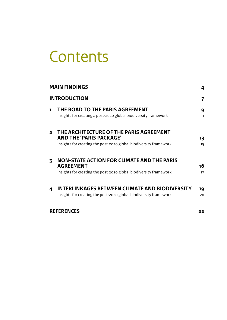## **Contents**

|                     | <b>MAIN FINDINGS</b>                                                                                                                           |          |
|---------------------|------------------------------------------------------------------------------------------------------------------------------------------------|----------|
| <b>INTRODUCTION</b> |                                                                                                                                                | 7        |
| 1.                  | THE ROAD TO THE PARIS AGREEMENT<br>Insights for creating a post-2020 global biodiversity framework                                             | 9<br>11  |
| $\overline{2}$      | THE ARCHITECTURE OF THE PARIS AGREEMENT<br><b>AND THE 'PARIS PACKAGE'</b><br>Insights for creating the post-2020 global biodiversity framework | 13<br>15 |
| 3                   | NON-STATE ACTION FOR CLIMATE AND THE PARIS<br><b>AGREEMENT</b><br>Insights for creating the post-2020 global biodiversity framework            | 16<br>17 |
| 4                   | INTERLINKAGES BETWEEN CLIMATE AND BIODIVERSITY<br>Insights for creating the post-2020 global biodiversity framework                            | 19<br>20 |
| <b>REFERENCES</b>   |                                                                                                                                                | 22       |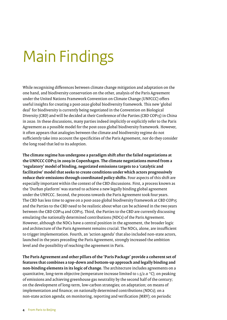## <span id="page-5-0"></span>Main Findings

While recognising differences between climate change mitigation and adaptation on the one hand, and biodiversity conservation on the other, analysis of the Paris Agreement under the United Nations Framework Convention on Climate Change (UNFCCC) offers useful insights for creating a post-2020 global biodiversity framework. This new 'global deal' for biodiversity is currently being negotiated in the Convention on Biological Diversity (CBD) and will be decided at their Conference of the Parties (CBD COP15) in China in 2020. In these discussions, many parties indeed implicitly or explicitly refer to the Paris Agreement as a possible model for the post-2020 global biodiversity framework. However, it often appears that analogies between the climate and biodiversity regime do not sufficiently take into account the specificities of the Paris Agreement, nor do they consider the long road that led to its adoption.

**The climate regime has undergone a paradigm shift after the failed negotiations at the UNFCCC COP15 in 2009 in Copenhagen. The climate negotiations moved from a 'regulatory' model of binding, negotiated emissions targets to a 'catalytic and facilitative' model that seeks to create conditions under which actors progressively reduce their emissions through coordinated policy shifts.** Four aspects of this shift are especially important within the context of the CBD discussions. First, a process known as the 'Durban platform' was started to achieve a new legally binding global agreement under the UNFCCC. Second, the process towards the Paris Agreement took four years. The CBD has less time to agree on a post-2020 global biodiversity framework at CBD COP15 and the Parties to the CBD need to be realistic about what can be achieved in the two years between the CBD COP14 and COP15. Third, the Parties to the CBD are currently discussing emulating the nationally determined contributions (NDCs) of the Paris Agreement. However, although the NDCs have a central position in the agreement, the broader logic and architecture of the Paris Agreement remains crucial. The NDCs, alone, are insufficient to trigger implementation. Fourth, an 'action agenda' that also included non-state actors, launched in the years preceding the Paris Agreement, strongly increased the ambition level and the possibility of reaching the agreement in Paris.

**The Paris Agreement and other pillars of the 'Paris Package' provide a coherent set of features that combines a top-down and bottom-up approach and legally binding and non-binding elements in its logic of change.** The architecture includes agreements on a quantitative, long-term objective (temperature increase limited to 1.5/2.0 °C); on peaking of emissions and achieving greenhouse gas neutrality by the second half of the century; on the development of long-term, low-carbon strategies; on adaptation; on means of implementation and finance; on nationally determined contributions (NDCs); on a non-state action agenda; on monitoring, reporting and verification (MRV); on periodic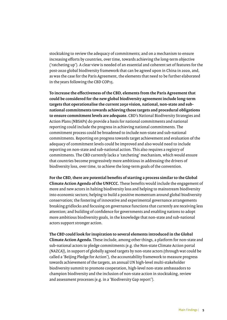stocktaking to review the adequacy of commitments; and on a mechanism to ensure increasing efforts by countries, over time, towards achieving the long-term objective ('ratcheting up'). A clear view is needed of an essential and coherent set of features for the post-2020 global biodiversity framework that can be agreed upon in China in 2020, and, as was the case for the Paris Agreement, the elements that need to be further elaborated in the years following the CBD COP15.

**To increase the effectiveness of the CBD, elements from the Paris Agreement that could be considered for the new global biodiversity agreement include long-term targets that operationalise the current 2050 vision, national, non-state and subnational commitments towards achieving those targets and procedural obligations to ensure commitment levels are adequate.** CBD's National Biodiversity Strategies and Action Plans (NBSAPs) do provide a basis for national commitments and national reporting could include the progress in achieving national commitments. The commitment process could be broadened to include non-state and sub-national commitments. Reporting on progress towards target achievement and evaluation of the adequacy of commitment levels could be improved and also would need to include reporting on non-state and sub-national action. This also requires a registry of commitments. The CBD currently lacks a 'ratcheting' mechanism, which would ensure that countries become progressively more ambitious in addressing the drivers of biodiversity loss, over time, to achieve the long-term goals of the convention.

**For the CBD, there are potential benefits of starting a process similar to the Global Climate Action Agenda of the UNFCCC.** These benefits would include the engagement of more and new actors in halting biodiversity loss and helping to mainstream biodiversity into economic sectors; helping to build a positive momentum around global biodiversity conservation; the fostering of innovative and experimental governance arrangements breaking gridlocks and focusing on governance functions that currently are receiving less attention; and building of confidence for governments and enabling nations to adopt more ambitious biodiversity goals, in the knowledge that non-state and sub-national actors support stronger action.

**The CBD could look for inspiration to several elements introduced in the Global Climate Action Agenda.** These include, among other things, a platform for non-state and sub-national actors to pledge commitments (e.g. the Non-state Climate Action portal (NAZCA)), in support of globally agreed targets by non-state actors (through wat could be called a 'Beijing Pledge for Action'), the accountability framework to measure progress towards achievement of the targets, an annual UN high-level multi-stakeholder biodiversity summit to promote cooperation, high-level non-state ambassadors to champion biodiversity and the inclusion of non-state action in stocktaking, review and assessment processes (e.g. in a 'Biodiversity Gap report').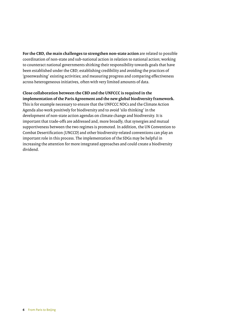**For the CBD, the main challenges to strengthen non-state action** are related to possible coordination of non-state and sub-national action in relation to national action; working to counteract national governments shirking their responsibility towards goals that have been established under the CBD; establishing credibility and avoiding the practices of 'greenwashing' existing activities; and measuring progress and comparing effectiveness across heterogeneous initiatives, often with very limited amounts of data.

#### **Close collaboration between the CBD and the UNFCCC is required in the implementation of the Paris Agreement and the new global biodiversity framework.**

This is for example necessary to ensure that the UNFCCC NDCs and the Climate Action Agenda also work positively for biodiversity and to avoid 'silo thinking' in the development of non-state action agendas on climate change and biodiversity. It is important that trade-offs are addressed and, more broadly, that synergies and mutual supportiveness between the two regimes is promoted. In addition, the UN Convention to Combat Desertification (UNCCD) and other biodiversity-related conventions can play an important role in this process. The implementation of the SDGs may be helpful in increasing the attention for more integrated approaches and could create a biodiversity dividend.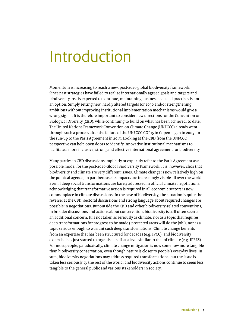## <span id="page-8-0"></span>Introduction

Momentum is increasing to reach a new, post-2020 global biodiversity framework. Since past strategies have failed to realise internationally agreed goals and targets and biodiversity loss is expected to continue, maintaining business-as-usual practices is not an option. Simply setting new, hardly altered targets for 2030 and/or strengthening ambitions without improving institutional implementation mechanisms would give a wrong signal. It is therefore important to consider new directions for the Convention on Biological Diversity (CBD), while continuing to build on what has been achieved, to date. The United Nations Framework Convention on Climate Change (UNFCCC) already went through such a process after the failure of the UNFCCC COP15 in Copenhagen in 2009, in the run-up to the Paris Agreement in 2015. Looking at the CBD from the UNFCCC perspective can help open doors to identify innovative institutional mechanisms to facilitate a more inclusive, strong and effective international agreement for biodiversity.

Many parties in CBD discussions implicitly or explicitly refer to the Paris Agreement as a possible model for the post-2020 Global Biodiversity Framework. It is, however, clear that biodiversity and climate are very different issues. Climate change is now relatively high on the political agenda, in part because its impacts are increasingly visible all over the world. Even if deep social transformations are barely addressed in official climate negotiations, acknowledging that transformative action is required in all economic sectors is now commonplace in climate discussions. In the case of biodiversity, the situation is quite the reverse; at the CBD, sectoral discussions and strong language about required changes are possible in negotiations. But outside the CBD and other biodiversity-related conventions, in broader discussions and actions about conservation, biodiversity is still often seen as an additional concern. It is not taken as seriously as climate, nor as a topic that requires deep transformations for progress to be made ('protected areas will do the job'), nor as a topic serious enough to warrant such deep transformations. Climate change benefits from an expertise that has been structured for decades (e.g. IPCC), and biodiversity expertise has just started to organise itself at a level similar to that of climate (e.g. IPBES). For most people, paradoxically, climate change mitigation is now somehow more tangible than biodiversity conservation, even though nature is closer to people's everyday lives. In sum, biodiversity negotiations may address required transformations, but the issue is taken less seriously by the rest of the world, and biodiversity actions continue to seem less tangible to the general public and various stakeholders in society.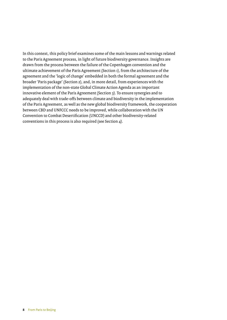In this context, this policy brief examines some of the main lessons and warnings related to the Paris Agreement process, in light of future biodiversity governance. Insights are drawn from the process between the failure of the Copenhagen convention and the ultimate achievement of the Paris Agreement (Section 1), from the architecture of the agreement and the 'logic of change' embedded in both the formal agreement and the broader 'Paris package' (Section 2), and, in more detail, from experiences with the implementation of the non-state Global Climate Action Agenda as an important innovative element of the Paris Agreement (Section 3). To ensure synergies and to adequately deal with trade-offs between climate and biodiversity in the implementation of the Paris Agreement, as well as the new global biodiversity framework, the cooperation between CBD and UNFCCC needs to be improved, while collaboration with the UN Convention to Combat Desertification (UNCCD) and other biodiversity-related conventions in this process is also required (see Section 4).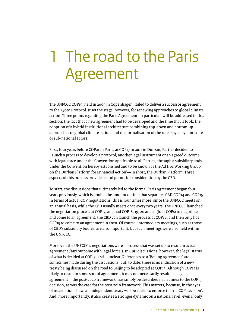## <span id="page-10-0"></span>1 The road to the Paris Agreement

The UNFCCC COP15, held in 2009 in Copenhagen, failed to deliver a successor agreement to the Kyoto Protocol. It set the stage, however, for renewing approaches to global climate action. Three points regarding the Paris Agreement, in particular, will be addressed in this section: the fact that a new agreement had to be developed and the time that it took, the adoption of a hybrid institutional architecture combining top-down and bottom-up approaches to global climate action, and the formalisation of the role played by non-state or sub-national actors.

First, four years before COP21 in Paris, at COP17 in 2011 in Durban, Parties decided to 'launch a process to develop a protocol, another legal instrument or an agreed outcome with legal force under the Convention applicable to all Parties, through a subsidiary body under the Convention hereby established and to be known as the Ad Hoc Working Group on the Durban Platform for Enhanced Action'—in short, the Durban Platform. Three aspects of this process provide useful points for consideration by the CBD.

To start, the discussions that ultimately led to the formal Paris Agreement began four years previously, which is double the amount of time that separates CBD COP14 and COP15. In terms of actual COP negotiations, this is four times more, since the UNFCCC meets on an annual basis, while the CBD usually meets once every two years. The UNFCCC launched the negotiation process at COP17, and had COP18, 19, 20 and 21 (four COPs) to negotiate and come to an agreement; the CBD can launch the process at COP14, and then only has COP15 to come to an agreement in 2020. Of course, intermediary meetings, such as those of CBD's subsidiary bodies, are also important, but such meetings were also held within the UNFCCC.

Moreover, the UNFCCC's negotiations were a process that was set up to result in actual agreement ('any outcome with legal force'). In CBD discussions, however, the legal status of what is decided at COP15 is still unclear. References to a 'Beijing Agreement' are sometimes made during the discussions, but, to date, there is no indication of a new treaty being discussed on the road to Beijing to be adopted at COP15. Although COP15 is likely to result in some sort of agreement, it may not necessarily result in a legal agreement—the post-2020 framework may simply be described in an annex to the COP15 decision, as was the case for the post-2010 framework. This matters, because, in the eyes of international law, an independent treaty will be easier to enforce than a 'COP decision'. And, more importantly, it also creates a stronger dynamic on a national level, even if only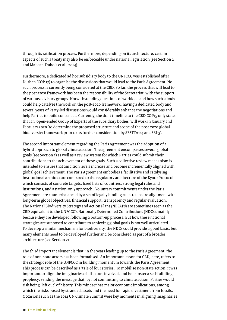through its ratification process. Furthermore, depending on its architecture, certain aspects of such a treaty may also be enforceable under national legislation (see Section 2 and Maljean-Dubois et al., 2014).

Furthermore, a dedicated ad hoc subsidiary body to the UNFCCC was established after Durban (COP 17) to organise the discussions that would lead to the Paris Agreement. No such process is currently being considered at the CBD. So far, the process that will lead to the post-2020 framework has been the responsibility of the Secretariat, with the support of various advisory groups. Notwithstanding questions of workload and how such a body could help catalyse the work on the post-2020 framework, having a dedicated body and several years of Party-led discussions would considerably enhance the negotiations and help Parties to build consensus. Currently, the draft timeline to the CBD COP15 only states that an 'open-ended Group of Experts of the subsidiary bodies' will work in January and February 2020 'to determine the proposed structure and scope of the post-2020 global biodiversity framework prior to its further consideration by SBSTTA-24 and SBI-3'.

The second important element regarding the Paris Agreement was the adoption of a hybrid approach to global climate action. The agreement encompasses several global goals (see Section 2) as well as a review system for which Parties could submit their contributions to the achievement of these goals. Such a collective review mechanism is intended to ensure that ambition levels increase and become incrementally aligned with global goal achievement. The Paris Agreement embodies a facilitative and catalysing institutional architecture compared to the regulatory architecture of the Kyoto Protocol, which consists of concrete targets, fixed lists of countries, strong legal rules and institutions, and a nation-only approach'. Voluntary commitments under the Paris Agreement are counterbalanced by a set of legally binding rules to ensure alignment with long-term global objectives, financial support, transparency and regular evaluation. The National Biodiversity Strategy and Action Plans (NBSAPs) are sometimes seen as the CBD equivalent to the UNFCCC's Nationally Determined Contributions (NDCs), mainly because they are developed following a bottom-up process. But how these national strategies are supposed to contribute to achieving global goals is not well articulated. To develop a similar mechanism for biodiversity, the NDCs could provide a good basis, but many elements need to be developed further and be considered as part of a broader architecture (see Section 2).

The third important element is that, in the years leading up to the Paris Agreement, the role of non-state actors has been formalised. An important lesson for CBD, here, refers to the strategic role of the UNFCCC in building momentum towards the Paris Agreement. This process can be described as a 'tale of four stories'. To mobilise non-state action, it was important to align the imaginaries of all actors involved, and help foster a self-fulfilling prophecy; sending the message that, by not committing to climate action, Parties would risk being 'left out' of history. This mindset has major economic implications, among which the risks posed by stranded assets and the need for rapid divestment from fossils. Occasions such as the 2014 UN Climate Summit were key moments in aligning imaginaries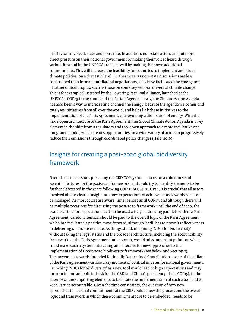<span id="page-12-0"></span>of all actors involved, state and non-state. In addition, non-state actors can put more direct pressure on their national government by making their voices heard through various fora and in the UNFCCC arena, as well by making their own additional commitments. This will increase the feasibility for countries to implement ambitious climate policies, on a domestic level. Furthermore, as non-state discussions are less constrained than formal, multilateral negotiations, they have facilitated the emergence of rather difficult topics, such as those on some key sectoral drivers of climate change. This is for example illustrated by the Powering Past Coal Alliance, launched at the UNFCCC's COP23 in the context of the Action Agenda. Lastly, the Climate Action Agenda has also been a way to increase and channel the energy, because the agenda welcomes and catalyses initiatives from all over the world, and helps link these initiatives to the implementation of the Paris Agreement, thus avoiding a dissipation of energy. With the more open architecture of the Paris Agreement, the Global Climate Action Agenda is a key element in the shift from a regulatory and top-down approach to a more facilitative and integrated model, which creates opportunities for a wide variety of actors to progressively reduce their emissions through coordinated policy changes (Hale, 2016).

### Insights for creating a post-2020 global biodiversity framework

Overall, the discussions preceding the CBD COP15 should focus on a coherent set of essential features for the post-2020 framework, and could try to identify elements to be further elaborated in the years following COP15. At CBD's COP14, it is crucial that all actors involved obtain clearer insight into how expectations of achievements towards 2020 can be managed. As most actors are aware, time is short until COP15, and although there will be multiple occasions for discussing the post-2020 framework until the end of 2020, the available time for negotiation needs to be used wisely. In drawing parallels with the Paris Agreement, careful attention should be paid to the overall logic of the Paris Agreement– which has facilitated a positive move forward, although it still has to prove its effectiveness in delivering on promises made. As things stand, imagining 'NDCs for biodiversity' without taking the legal status and the broader architecture, including the accountability framework, of the Paris Agreement into account, would miss important points on what could make such a system interesting and effective for new approaches to the implementation of a post-2020 biodiversity framework (see below and Section 2). The movement towards Intended Nationally Determined Contribution as one of the pillars of the Paris Agreement was also a key moment of political impetus for national governments. Launching 'NDCs for biodiversity' as a new tool would lead to high expectations and may form an important political risk for the CBD (and China's presidency of the COP15), in the absence of the supporting elements to facilitate the implementation of such a tool and to keep Parties accountable. Given the time constraints, the question of how new approaches to national commitments at the CBD could renew the process and the overall logic and framework in which these commitments are to be embedded, needs to be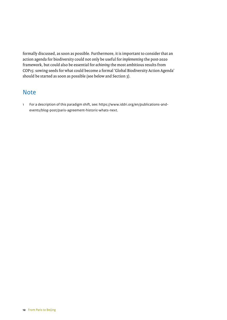formally discussed, as soon as possible. Furthermore, it is important to consider that an action agenda for biodiversity could not only be useful for *implementing* the post-2020 framework, but could also be essential for *achieving* the most ambitious results from COP15: sowing seeds for what could become a formal 'Global Biodiversity Action Agenda' should be started as soon as possible (see below and Section 3).

### Note

1 For a description of this paradigm shift, see: https://www.iddri.org/en/publications-andevents/blog-post/paris-agreement-historic-whats-next.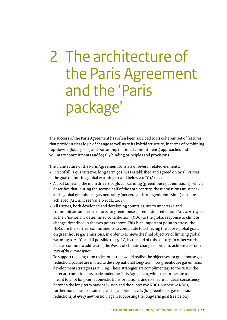## <span id="page-14-0"></span>2 The architecture of the Paris Agreement and the 'Paris package'

The success of the Paris Agreement has often been ascribed to its coherent set of features that provide a clear logic of change as well as to its hybrid structure, in terms of combining top-down (global goals) and bottom-up (national commitments) approaches and voluntary commitments and legally binding principles and provisions.

The architecture of the Paris Agreement consists of several related elements:

- First of all, a quantitative, long-term goal was established and agreed on by all Parties: the goal of limiting global warming to well below 2.0 °C (Art. 2).
- A goal targeting the main drivers of global warming (greenhouse gas emissions), which describes that, during the second half of the 20th century, these emissions must peak and a global greenhouse gas neutrality (net zero anthropogenic emissions) must be achieved (Art. 4.1.; see Vallejo et al., 2018).
- All Parties, both developed and developing countries, are to undertake and communicate ambitious efforts for greenhouse gas emission reduction (Art. 2, Art. 4.2), as their 'nationally determined contribution' (NDC) to the global response to climate change, described in the two points above. This is an important point to stress: the NDCs are the Parties' commitments to contribute to achieving the above global goals on greenhouse gas emissions, in order to achieve the final objective of limiting global warming to 2 °C, and if possible to 1.5 °C, by the end of this century. In other words, Parties commit to addressing the *drivers* of climate change in order to achieve a certain *state of the climate system*.
- To support the long-term trajectories that would realise the objectives for greenhouse gas reduction, parties are invited to develop national long-term, low greenhouse gas emission development strategies (Art. 4.19). These strategies are complimentary to the NDCs; the latter are commitments made under the Paris Agreement, while the former are tools meant to pilot long-term domestic transformations, and to ensure a mutual consistency between the long-term national vision and the successive NDCs. Successive NDCs, furthermore, must contain increasing ambition levels (for greenhouse gas emission reductions) at every new version, again supporting the long-term goal (see below).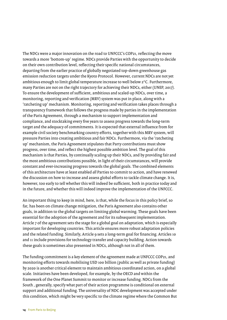The NDCs were a major innovation on the road to UNFCCC's COP21, reflecting the move towards a more 'bottom-up' regime. NDCs provide Parties with the opportunity to decide on their own contribution level, reflecting their specific national circumstances, departing from the earlier practice of globally negotiated top-down greenhouse gas emission reduction targets under the Kyoto Protocol. However, current NDCs are not yet ambitious enough to limit global temperature increase to well below 2°C. Furthermore, many Parties are not on the right trajectory for achieving their NDCs, either (UNEP, 2017). To ensure the development of sufficient, ambitious and scaled-up NDCs, over time, a monitoring, reporting and verification (MRV) system was put in place, along with a 'ratcheting up' mechanism. Monitoring, reporting and verification takes places through a transparency framework that follows the progress made by parties in the implementation of the Paris Agreement, through a mechanism to support implementation and compliance, and stocktaking every five years to assess progress towards the long-term target and the adequacy of commitments. It is expected that external influence from for example civil society benchmarking country efforts, together with this MRV system, will pressure Parties into creating ambitious and fair NDCs. Furthermore, via the 'ratcheting up' mechanism, the Paris Agreement stipulates that Party contributions must show progress, over time, and reflect the highest possible ambition level. The goal of this mechanism is that Parties, by continually scaling up their NDCs, and by providing fair and the most ambitious contributions possible, in light of their circumstances, will provide constant and ever-increasing progress towards the global goals. The combined elements of this architecture have at least enabled *all* Parties to commit to action, and have renewed the discussion on how to increase and assess global efforts to tackle climate change. It is, however, too early to tell whether this will indeed be sufficient, both in practice today and in the future, and whether this will indeed improve the implementation of the UNFCCC.

An important thing to keep in mind, here, is that, while the focus in this policy brief, so far, has been on climate change mitigation, the Paris Agreement also contains other goals, in addition to the global targets on limiting global warming. These goals have been essential for the adoption of the agreement and for its subsequent implementation. Article 7 of the agreement sets the stage for a global goal on adaptation, which is especially important for developing countries. This article ensures more robust adaptation policies and the related funding. Similarly, Article 9 sets a long-term goal for financing. Articles 10 and 11 include provisions for technology transfer and capacity building. Action towards these goals is sometimes also presented in NDCs, although not in all of them.

The funding commitment is a key element of the agreement made at UNFCCC COP21, and monitoring efforts towards mobilising USD 100 billion (public as well as private funding) by 2020 is another critical element to maintain ambitious coordinated action, on a global scale. Initiatives have been developed, for example, by the OECD and within the framework of the One Planet Summit to monitor or increase funding. NDCs from the South , generally, specify what part of their action programme is conditional on external support and additional funding. The universality of NDC development was accepted under this condition, which might be very specific to the climate regime where the Common But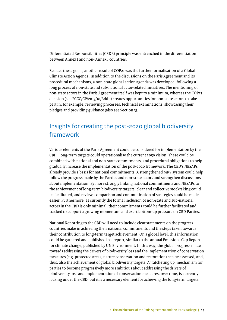<span id="page-16-0"></span>Differentiated Responsibilities (CBDR) principle was entrenched in the differentiation between Annex I and non- Annex I countries.

Besides these goals, another result of COP21 was the further formalisation of a Global Climate Action Agenda. In addition to the discussions on the Paris Agreement and its procedural mechanisms, a non-state global action agenda was developed, following a long process of non-state and sub-national actor-related initiatives. The mentioning of non-state actors in the Paris Agreement itself was kept to a minimum, whereas the COP21 decision (see FCCC/CP/2015/10/Add.1) creates opportunities for non-state actors to take part in, for example, reviewing processes, technical examinations, showcasing their pledges and providing guidance (also see Section 3).

### Insights for creating the post-2020 global biodiversity framework

Various elements of the Paris Agreement could be considered for implementation by the CBD. Long-term targets could operationalise the current 2050 vision. These could be combined with national and non-state commitments, and procedural obligations to help gradually increase the implementation of the post-2020 framework. The CBD's NBSAPs already provide a basis for national commitments. A strengthened MRV system could help follow the progress made by the Parties and non-state actors and strengthen discussions about implementation. By more strongly linking national commitments and NBSAPs to the achievement of long-term biodiversity targets, clear and collective stocktaking could be facilitated, and review, comparison and communication of strategies could be made easier. Furthermore, as currently the formal inclusion of non-state and sub-national actors in the CBD is only minimal, their commitments could be further facilitated and tracked to support a growing momentum and exert bottom-up pressure on CBD Parties.

National Reporting to the CBD will need to include clear statements on the progress countries make in achieving their national commitments and the steps taken towards their contribution to long-term target achievement. On a global level, this information could be gathered and published in a report, similar to the annual Emissions Gap Report for climate change, published by UN Environment. In this way, the global progress made towards addressing the drivers of biodiversity loss and the implementation of conservation measures (e.g. protected areas, nature conservation and restoration) can be assessed, and, thus, also the achievement of global biodiversity targets. A 'ratcheting up' mechanism for parties to become progressively more ambitious about addressing the drivers of biodiversity loss and implementation of conservation measures, over time, is currently lacking under the CBD, but it is a necessary element for achieving the long-term targets.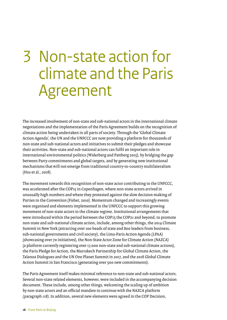## <span id="page-17-0"></span>3 Non-state action for climate and the Paris Agreement

The increased involvement of non-state and sub-national actors in the international climate negotiations and the implementation of the Paris Agreement builds on the recognition of climate action being undertaken in all parts of society. Through the 'Global Climate Action Agenda', the UN and the UNFCCC are now providing a platform for thousands of non-state and sub-national actors and initiatives to submit their pledges and showcase their activities. Non-state and sub-national actors can fulfil an important role in international environmental politics (Widerberg and Pattberg 2015), by bridging the gap between Party commitments and global targets, and by generating new institutional mechanisms that will not emerge from traditional country-to-country multilateralism (Hsu et al., 2018).

The movement towards this recognition of non-state actor contributing to the UNFCCC, was accelerated after the COP15 in Copenhagen, where non-state actors arrived in unusually high numbers and where they protested against the slow decision-making of Parties to the Convention (Fisher, 2010). Momentum changed and increasingly events were organised and elements implemented in the UNFCCC to support this growing movement of non-state actors in the climate regime. Institutional arrangements that were introduced within the period between the COP15 the COP21 and beyond, to promote non-state and sub-national climate action, include, among other things, the 2014 Climate Summit in New York (attracting over 100 heads of state and 800 leaders from business, sub-national governments and civil society), the Lima-Paris Action Agenda (LPAA) (showcasing over 70 initiatives), the Non-State Actor Zone for Climate Action (NAZCA) (a platform currently registering over 17,000 non-state and sub-national climate actions), the Paris Pledge for Action, the Marrakech Partnership for Global Climate Action, the Talanoa Dialogues and the UN One Planet Summit in 2017, and the 2018 Global Climate Action Summit in San Francisco (generating over 500 new commitments).

The Paris Agreement itself makes minimal reference to non-state and sub-national actors. Several non-state related elements, however, were included in the accompanying decision document. These include, among other things, welcoming the scaling up of ambition by non-state actors and an official mandate to continue with the NAZCA platform (paragraph 118). In addition, several new elements were agreed in the COP Decision,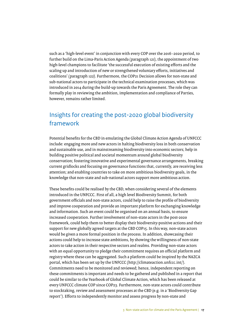<span id="page-18-0"></span>such as a 'high-level event' in conjunction with every COP over the 2016–2020 period, to further build on the Lima-Paris Action Agenda (paragraph 121), the appointment of two high-level champions to facilitate 'the successful execution of existing efforts and the scaling up and introduction of new or strengthened voluntary efforts, initiatives and coalitions' (paragraph 122). Furthermore, the COP21 Decision allows for non-state and sub-national actors to participate in the technical examination processes, which was introduced in 2014 during the build-up towards the Paris Agreement. The role they can formally play in reviewing the ambition, implementation and compliance of Parties, however, remains rather limited.

### Insights for creating the post-2020 global biodiversity framework

Potential benefits for the CBD in emulating the Global Climate Action Agenda of UNFCCC include: engaging more and new actors in halting biodiversity loss in both conservation and sustainable use, and in mainstreaming biodiversity into economic sectors; help in building positive political and societal momentum around global biodiversity conservation; fostering innovative and experimental governance arrangements, breaking current gridlocks and focusing on governance functions that, currently, are receiving less attention; and enabling countries to take on more ambitious biodiversity goals, in the knowledge that non-state and sub-national actors support more ambitious action.

These benefits could be realised by the CBD, when considering several of the elements introduced in the UNFCCC. First of all, a high level Biodiversity Summit, for both government officials and non-state actors, could help to raise the profile of biodiversity and improve cooperation and provide an important platform for exchanging knowledge and information. Such an event could be organised on an annual basis, to ensure increased cooperation. Further involvement of non-state actors in the post-2020 framework, could help them to better display their biodiversity-positive actions and their support for new globally agreed targets at the CBD COP15. In this way, non-state actors would be given a more formal position in the process. In addition, showcasing their actions could help to increase state ambitions, by showing the willingness of non-state actors to take action in their respective sectors and realms. Providing non-state actors with an equal opportunity to pledge their commitment requires an official platform and registry where these can be aggregated. Such a platform could be inspired by the NAZCA portal, which has been set up by the UNFCCC (<http://climateaction.unfccc.int/>). Commitments need to be monitored and reviewed; hence, independent reporting on these commitments is important and needs to be gathered and published in a report that could be similar to the Yearbook of Global Climate Action, which has been released at every UNFCCC climate COP since COP23. Furthermore, non-state actors could contribute to stocktaking, review and assessment processes at the CBD (e.g. in a 'Biodiversity Gap report'). Efforts to independently monitor and assess progress by non-state and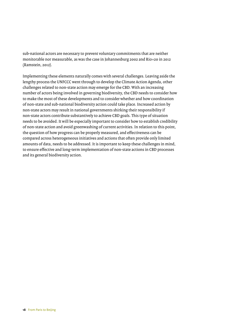sub-national actors are necessary to prevent voluntary commitments that are neither monitorable nor measurable, as was the case in Johannesburg 2002 and Rio+20 in 2012 (Ramstein, 2012).

Implementing these elements naturally comes with several challenges. Leaving aside the lengthy process the UNFCCC went through to develop the Climate Action Agenda, other challenges related to non-state action may emerge for the CBD. With an increasing number of actors being involved in governing biodiversity, the CBD needs to consider how to make the most of these developments and to consider whether and how coordination of non-state and sub-national biodiversity action could take place. Increased action by non-state actors may result in national governments shirking their responsibility if non-state actors contribute substantively to achieve CBD goals. This type of situation needs to be avoided. It will be especially important to consider how to establish credibility of non-state action and avoid greenwashing of current activities. In relation to this point, the question of how progress can be properly measured, and effectiveness can be compared across heterogeneous initiatives and actions that often provide only limited amounts of data, needs to be addressed. It is important to keep these challenges in mind, to ensure effective and long-term implementation of non-state actions in CBD processes and its general biodiversity action.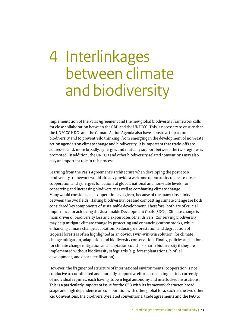## <span id="page-20-0"></span>4 Interlinkages between climate and biodiversity

Implementation of the Paris Agreement and the new global biodiversity framework calls for close collaboration between the CBD and the UNFCCC. This is necessary to ensure that the UNFCCC NDCs and the Climate Action Agenda also have a positive impact on biodiversity and to prevent 'silo thinking' from emerging in the development of non-state action agenda's on climate change and biodiversity. It is important that trade-offs are addressed and, more broadly, synergies and mutually support between the two regimes is promoted. In addition, the UNCCD and other biodiversity-related conventions may also play an important role in this process.

Learning from the Paris Agreement's architecture when developing the post-2020 biodiversity framework would already provide a welcome opportunity to create closer cooperation and synergies for actions at global, national and non-state levels, for conserving and increasing biodiversity as well as combatting climate change. Many would consider such cooperation as a given, because of the many close links between the two fields. Halting biodiversity loss and combatting climate change are both considered key components of sustainable development. Therefore, both are of crucial importance for achieving the Sustainable Development Goals (SDGs). Climate change is a main driver of biodiversity loss and exacerbates other drivers. Conserving biodiversity may help mitigate climate change by protecting and enhancing carbon stocks, while enhancing climate change adaptation. Reducing deforestation and degradation of tropical forests is often highlighted as an obvious win-win-win solution, for climate change mitigation, adaptation and biodiversity conservation. Finally, policies and actions for climate change mitigation and adaptation could also harm biodiversity if they are implemented without biodiversity safeguards (e.g. forest plantations, biofuel development, and ocean fertilisation).

However, the fragmented structure of international environmental cooperation is not conducive to coordinated and mutually supportive efforts, consisting–as it is currently– of individual regimes, each having its own legal autonomy and interlocked institutions. This is a particularly important issue for the CBD with its framework character, broad scope and high dependence on collaboration with other global fora, such as the two other Rio Conventions, the biodiversity-related conventions, trade agreements and the FAO to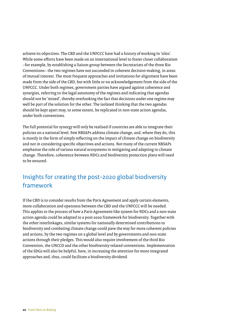<span id="page-21-0"></span>achieve its objectives. The CBD and the UNFCCC have had a history of working in 'silos'. While some efforts have been made on an international level to foster closer collaboration –for example, by establishing a liaison group between the Secretariats of the three Rio Conventions– the two regimes have not succeeded in coherent decision-making, in areas of mutual interest. The most frequent approaches and invitations for alignment have been made from the side of the CBD, but with little or no acknowledgement from the side of the UNFCCC. Under both regimes, government parties have argued against coherence and synergies, referring to the legal autonomy of the regimes and indicating that agendas should not be 'mixed', thereby overlooking the fact that decisions under one regime may well be part of the solution for the other. The isolated thinking that the two agendas should be kept apart may, to some extent, be replicated in non-state action agendas, under both conventions.

The full potential for synergy will only be realised if countries are able to integrate their policies on a national level. Few NBSAPs address climate change, and, where they do, this is mostly in the form of simply reflecting on the impact of climate change on biodiversity and not in considering specific objectives and actions. Not many of the current NBSAPs emphasise the role of various natural ecosystems in mitigating and adapting to climate change. Therefore, coherence between NDCs and biodiversity protection plans will need to be ensured.

### Insights for creating the post-2020 global biodiversity framework

If the CBD is to consider results from the Paris Agreement and apply certain elements, more collaboration and openness between the CBD and the UNFCCC will be needed. This applies to the process of how a Paris Agreement-like system for NDCs and a non-state action agenda could be adapted to a post-2020 framework for biodiversity. Together with the other interlinkages, similar systems for nationally determined contributions to biodiversity and combating climate change could pave the way for more coherent policies and actions, by the two regimes on a global level and by governments and non-state actions through their pledges. This would also require involvement of the third Rio Convention, the UNCCD and the other biodiversity-related conventions. Implementation of the SDGs will also be helpful, here, in increasing the attention for more integrated approaches and, thus, could facilitate a biodiversity dividend.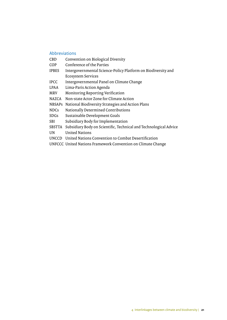#### Abbreviations

- CBD Convention on Biological Diversity
- COP Conference of the Parties
- IPBES Intergovernmental Science-Policy Platform on Biodiversity and Ecosystem Services
- IPCC Intergovernmental Panel on Climate Change
- LPAA Lima-Paris Action Agenda
- MRV Monitoring Reporting Verification
- NAZCA Non-state Actor Zone for Climate Action
- NBSAPs National Biodiversity Strategies and Action Plans
- NDCs Nationally Determined Contributions
- SDGs Sustainable Development Goals
- SBI Subsidiary Body for Implementation
- SBSTTA Subsidiary Body on Scientific, Technical and Technological Advice
- UN United Nations
- UNCCD United Nations Convention to Combat Desertification
- UNFCCC United Nations Framework Convention on Climate Change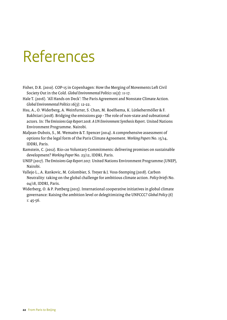### <span id="page-23-0"></span>References

- Fisher, D.R. (2010). COP-15 in Copenhagen: How the Merging of Movements Left Civil Society Out in the Cold. *Global Environmental Politics* 10(2): 11-17.
- Hale T. (2016). 'All Hands on Deck': The Paris Agreement and Nonstate Climate Action. *Global Environmental Politics* 16(3): 12-22.
- Hsu, A., O. Widerberg, A. Weinfurter, S. Chan, M. Roelfsema, K. Lütkehermöller & F. Bakhtiari (2018). Bridging the emissions gap - The role of non-state and subnational actors. In: *The Emissions Gap Report 2018. A UN Environment Synthesis Report*. United Nations Environment Programme. Nairobi.
- Maljean-Dubois, S., M. Wemaëre & T. Spencer (2014). A comprehensive assessment of options for the legal form of the Paris Climate Agreement. *Working Papers* No. 15/14, IDDRI, Paris.
- Ramstein, C. (2012). Rio+20 Voluntary Commitments: delivering promises on sustainable development? *Working Paper* No. 23/12, IDDRI, Paris.
- UNEP (2017). *The Emissions Gap Report 2017*. United Nations Environment Programme (UNEP), Nairobi.
- Vallejo L., A. Rankovic, M. Colombier, S. Treyer & J. Voss-Stemping (2018). Carbon Neutrality: taking on the global challenge for ambitious climate action. *Policy briefs* No. 04/18, IDDRI, Paris.
- Widerberg, O. & P. Pattberg (2015). International cooperative initiatives in global climate governance: Raising the ambition level or delegitimizing the UNFCCC? *Global Policy* (6) 1: 45-56.